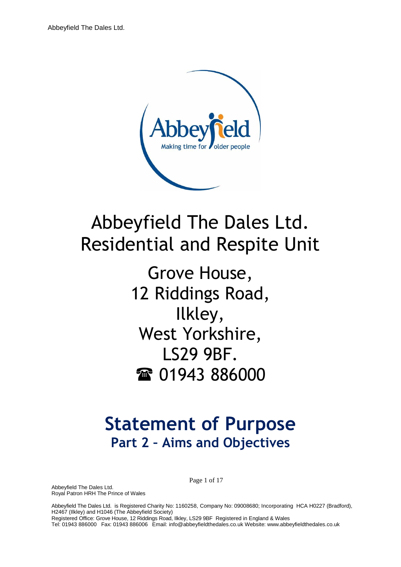

# Abbeyfield The Dales Ltd. Residential and Respite Unit

Grove House, 12 Riddings Road, Ilkley, West Yorkshire, LS29 9BF. 雷 01943 886000

# **Statement of Purpose Part 2 – Aims and Objectives**

Abbeyfield The Dales Ltd. Royal Patron HRH The Prince of Wales Page 1 of 17

Abbeyfield The Dales Ltd. is Registered Charity No: 1160258, Company No: 09008680; Incorporating HCA H0227 (Bradford), H2467 (Ilkley) and H1046 (The Abbeyfield Society) Registered Office: Grove House, 12 Riddings Road, Ilkley, LS29 9BF Registered in England & Wales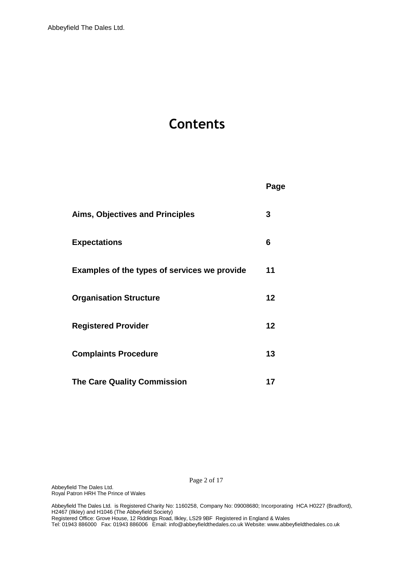# **Contents**

| Aims, Objectives and Principles              | 3  |
|----------------------------------------------|----|
| <b>Expectations</b>                          | 6  |
| Examples of the types of services we provide | 11 |
| <b>Organisation Structure</b>                | 12 |
| <b>Registered Provider</b>                   | 12 |
| <b>Complaints Procedure</b>                  | 13 |
| <b>The Care Quality Commission</b>           | 17 |

**Page** Service Service Service Service Service Service Service Service Service Service Service Service Service

Page 2 of 17

Abbeyfield The Dales Ltd. Royal Patron HRH The Prince of Wales

Abbeyfield The Dales Ltd. is Registered Charity No: 1160258, Company No: 09008680; Incorporating HCA H0227 (Bradford), H2467 (Ilkley) and H1046 (The Abbeyfield Society) Registered Office: Grove House, 12 Riddings Road, Ilkley, LS29 9BF Registered in England & Wales Tel: 01943 886000 Fax: 01943 886006 Email: [info@abbeyfieldthedales.co.uk W](mailto:info@abbeyfieldthedales.co.uk)ebsite: [www.abbeyfieldthedales.](http://www.abbeyfieldthedales/)co.uk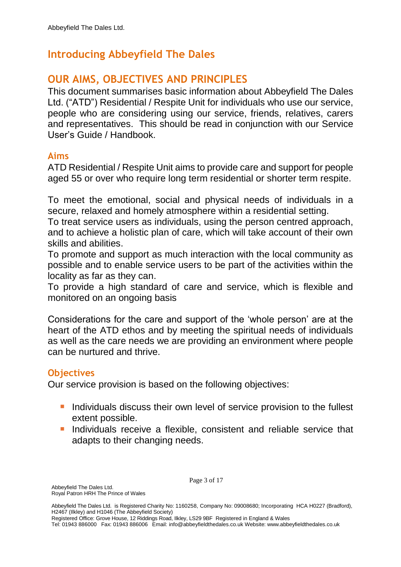# **Introducing Abbeyfield The Dales**

# **OUR AIMS, OBJECTIVES AND PRINCIPLES**

This document summarises basic information about Abbeyfield The Dales Ltd. ("ATD") Residential / Respite Unit for individuals who use our service, people who are considering using our service, friends, relatives, carers and representatives. This should be read in conjunction with our Service User's Guide / Handbook.

#### **Aims**

ATD Residential / Respite Unit aims to provide care and support for people aged 55 or over who require long term residential or shorter term respite.

To meet the emotional, social and physical needs of individuals in a secure, relaxed and homely atmosphere within a residential setting.

To treat service users as individuals, using the person centred approach, and to achieve a holistic plan of care, which will take account of their own skills and abilities.

To promote and support as much interaction with the local community as possible and to enable service users to be part of the activities within the locality as far as they can.

To provide a high standard of care and service, which is flexible and monitored on an ongoing basis

Considerations for the care and support of the 'whole person' are at the heart of the ATD ethos and by meeting the spiritual needs of individuals as well as the care needs we are providing an environment where people can be nurtured and thrive.

#### **Objectives**

Our service provision is based on the following objectives:

- **If** Individuals discuss their own level of service provision to the fullest extent possible.
- **Individuals receive a flexible, consistent and reliable service that** adapts to their changing needs.

Registered Office: Grove House, 12 Riddings Road, Ilkley, LS29 9BF Registered in England & Wales Tel: 01943 886000 Fax: 01943 886006 Email: [info@abbeyfieldthedales.co.uk W](mailto:info@abbeyfieldthedales.co.uk)ebsite: [www.abbeyfieldthedales.](http://www.abbeyfieldthedales/)co.uk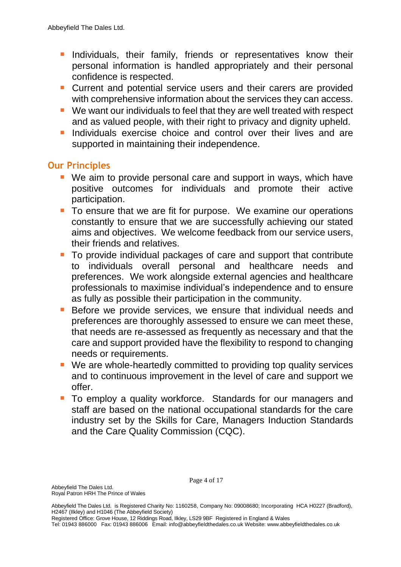- **I.** Individuals, their family, friends or representatives know their personal information is handled appropriately and their personal confidence is respected.
- **Current and potential service users and their carers are provided** with comprehensive information about the services they can access.
- We want our individuals to feel that they are well treated with respect and as valued people, with their right to privacy and dignity upheld.
- **Individuals exercise choice and control over their lives and are** supported in maintaining their independence.

#### **Our Principles**

- We aim to provide personal care and support in ways, which have positive outcomes for individuals and promote their active participation.
- To ensure that we are fit for purpose. We examine our operations constantly to ensure that we are successfully achieving our stated aims and objectives. We welcome feedback from our service users, their friends and relatives.
- To provide individual packages of care and support that contribute to individuals overall personal and healthcare needs and preferences. We work alongside external agencies and healthcare professionals to maximise individual's independence and to ensure as fully as possible their participation in the community.
- **Before we provide services, we ensure that individual needs and** preferences are thoroughly assessed to ensure we can meet these, that needs are re-assessed as frequently as necessary and that the care and support provided have the flexibility to respond to changing needs or requirements.
- We are whole-heartedly committed to providing top quality services and to continuous improvement in the level of care and support we offer.
- To employ a quality workforce. Standards for our managers and staff are based on the national occupational standards for the care industry set by the Skills for Care, Managers Induction Standards and the Care Quality Commission (CQC).

Registered Office: Grove House, 12 Riddings Road, Ilkley, LS29 9BF Registered in England & Wales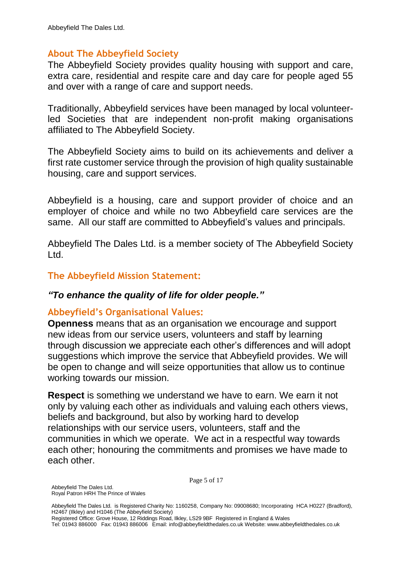#### **About The Abbeyfield Society**

The Abbeyfield Society provides quality housing with support and care, extra care, residential and respite care and day care for people aged 55 and over with a range of care and support needs.

Traditionally, Abbeyfield services have been managed by local volunteerled Societies that are independent non-profit making organisations affiliated to The Abbeyfield Society.

The Abbeyfield Society aims to build on its achievements and deliver a first rate customer service through the provision of high quality sustainable housing, care and support services.

Abbeyfield is a housing, care and support provider of choice and an employer of choice and while no two Abbeyfield care services are the same. All our staff are committed to Abbeyfield's values and principals.

Abbeyfield The Dales Ltd. is a member society of The Abbeyfield Society Ltd.

#### **The Abbeyfield Mission Statement:**

#### *"To enhance the quality of life for older people."*

#### **Abbeyfield's Organisational Values:**

**Openness** means that as an organisation we encourage and support new ideas from our service users, volunteers and staff by learning through discussion we appreciate each other's differences and will adopt suggestions which improve the service that Abbeyfield provides. We will be open to change and will seize opportunities that allow us to continue working towards our mission.

**Respect** is something we understand we have to earn. We earn it not only by valuing each other as individuals and valuing each others views, beliefs and background, but also by working hard to develop relationships with our service users, volunteers, staff and the communities in which we operate. We act in a respectful way towards each other; honouring the commitments and promises we have made to each other.

Page 5 of 17

Registered Office: Grove House, 12 Riddings Road, Ilkley, LS29 9BF Registered in England & Wales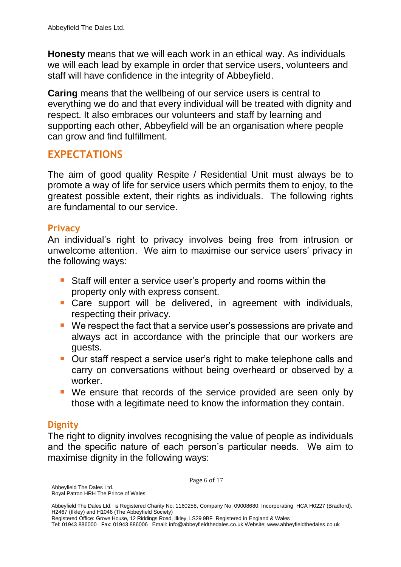**Honesty** means that we will each work in an ethical way. As individuals we will each lead by example in order that service users, volunteers and staff will have confidence in the integrity of Abbeyfield.

**Caring** means that the wellbeing of our service users is central to everything we do and that every individual will be treated with dignity and respect. It also embraces our volunteers and staff by learning and supporting each other, Abbeyfield will be an organisation where people can grow and find fulfillment.

## **EXPECTATIONS**

The aim of good quality Respite / Residential Unit must always be to promote a way of life for service users which permits them to enjoy, to the greatest possible extent, their rights as individuals. The following rights are fundamental to our service.

#### **Privacy**

An individual's right to privacy involves being free from intrusion or unwelcome attention. We aim to maximise our service users' privacy in the following ways:

- Staff will enter a service user's property and rooms within the property only with express consent.
- **Care support will be delivered, in agreement with individuals,** respecting their privacy.
- We respect the fact that a service user's possessions are private and always act in accordance with the principle that our workers are guests.
- Our staff respect a service user's right to make telephone calls and carry on conversations without being overheard or observed by a worker.
- We ensure that records of the service provided are seen only by those with a legitimate need to know the information they contain.

#### **Dignity**

The right to dignity involves recognising the value of people as individuals and the specific nature of each person's particular needs. We aim to maximise dignity in the following ways:

Page 6 of 17

Registered Office: Grove House, 12 Riddings Road, Ilkley, LS29 9BF Registered in England & Wales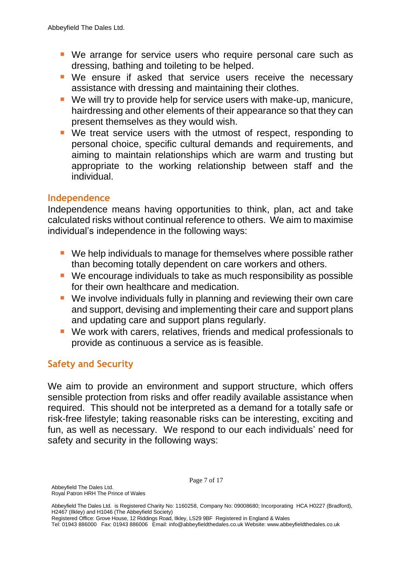- We arrange for service users who require personal care such as dressing, bathing and toileting to be helped.
- We ensure if asked that service users receive the necessary assistance with dressing and maintaining their clothes.
- We will try to provide help for service users with make-up, manicure, hairdressing and other elements of their appearance so that they can present themselves as they would wish.
- We treat service users with the utmost of respect, responding to personal choice, specific cultural demands and requirements, and aiming to maintain relationships which are warm and trusting but appropriate to the working relationship between staff and the individual.

#### **Independence**

Independence means having opportunities to think, plan, act and take calculated risks without continual reference to others. We aim to maximise individual's independence in the following ways:

- We help individuals to manage for themselves where possible rather than becoming totally dependent on care workers and others.
- We encourage individuals to take as much responsibility as possible for their own healthcare and medication.
- We involve individuals fully in planning and reviewing their own care and support, devising and implementing their care and support plans and updating care and support plans regularly.
- We work with carers, relatives, friends and medical professionals to provide as continuous a service as is feasible.

#### **Safety and Security**

We aim to provide an environment and support structure, which offers sensible protection from risks and offer readily available assistance when required. This should not be interpreted as a demand for a totally safe or risk-free lifestyle; taking reasonable risks can be interesting, exciting and fun, as well as necessary. We respond to our each individuals' need for safety and security in the following ways:

Page 7 of 17

Registered Office: Grove House, 12 Riddings Road, Ilkley, LS29 9BF Registered in England & Wales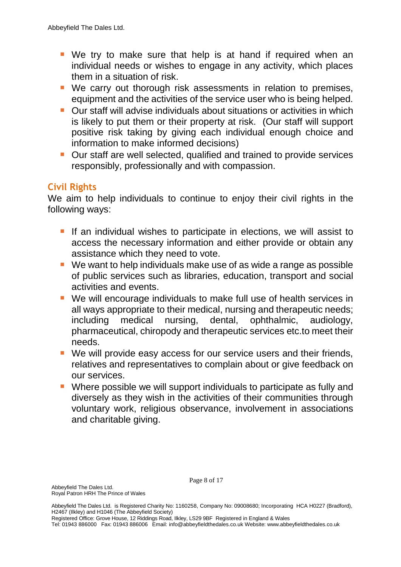- We try to make sure that help is at hand if required when an individual needs or wishes to engage in any activity, which places them in a situation of risk.
- We carry out thorough risk assessments in relation to premises, equipment and the activities of the service user who is being helped.
- **Dur staff will advise individuals about situations or activities in which** is likely to put them or their property at risk. (Our staff will support positive risk taking by giving each individual enough choice and information to make informed decisions)
- **Our staff are well selected, qualified and trained to provide services** responsibly, professionally and with compassion.

#### **Civil Rights**

We aim to help individuals to continue to enjoy their civil rights in the following ways:

- If an individual wishes to participate in elections, we will assist to access the necessary information and either provide or obtain any assistance which they need to vote.
- We want to help individuals make use of as wide a range as possible of public services such as libraries, education, transport and social activities and events.
- We will encourage individuals to make full use of health services in all ways appropriate to their medical, nursing and therapeutic needs; including medical nursing, dental, ophthalmic, audiology, pharmaceutical, chiropody and therapeutic services etc.to meet their needs.
- We will provide easy access for our service users and their friends, relatives and representatives to complain about or give feedback on our services.
- Where possible we will support individuals to participate as fully and diversely as they wish in the activities of their communities through voluntary work, religious observance, involvement in associations and charitable giving.

Registered Office: Grove House, 12 Riddings Road, Ilkley, LS29 9BF Registered in England & Wales

Tel: 01943 886000 Fax: 01943 886006 Email: [info@abbeyfieldthedales.co.uk W](mailto:info@abbeyfieldthedales.co.uk)ebsite: [www.abbeyfieldthedales.](http://www.abbeyfieldthedales/)co.uk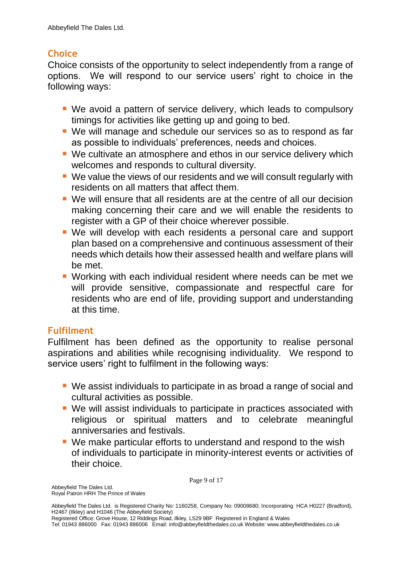#### **Choice**

Choice consists of the opportunity to select independently from a range of options. We will respond to our service users' right to choice in the following ways:

- We avoid a pattern of service delivery, which leads to compulsory timings for activities like getting up and going to bed.
- We will manage and schedule our services so as to respond as far as possible to individuals' preferences, needs and choices.
- We cultivate an atmosphere and ethos in our service delivery which welcomes and responds to cultural diversity.
- We value the views of our residents and we will consult regularly with residents on all matters that affect them.
- We will ensure that all residents are at the centre of all our decision making concerning their care and we will enable the residents to register with a GP of their choice wherever possible.
- We will develop with each residents a personal care and support plan based on a comprehensive and continuous assessment of their needs which details how their assessed health and welfare plans will be met.
- Working with each individual resident where needs can be met we will provide sensitive, compassionate and respectful care for residents who are end of life, providing support and understanding at this time.

### **Fulfilment**

Fulfilment has been defined as the opportunity to realise personal aspirations and abilities while recognising individuality. We respond to service users' right to fulfilment in the following ways:

- We assist individuals to participate in as broad a range of social and cultural activities as possible.
- We will assist individuals to participate in practices associated with religious or spiritual matters and to celebrate meaningful anniversaries and festivals.
- We make particular efforts to understand and respond to the wish of individuals to participate in minority-interest events or activities of their choice.

Page 9 of 17

Registered Office: Grove House, 12 Riddings Road, Ilkley, LS29 9BF Registered in England & Wales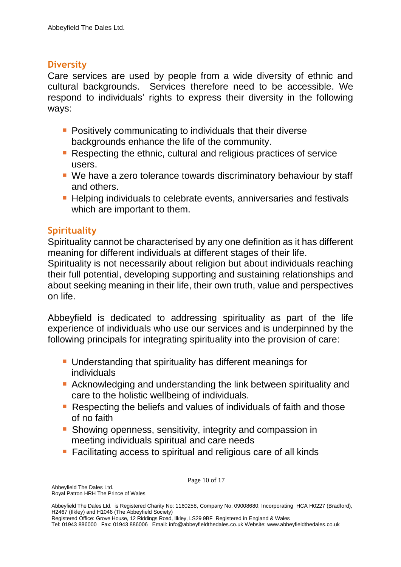#### **Diversity**

Care services are used by people from a wide diversity of ethnic and cultural backgrounds. Services therefore need to be accessible. We respond to individuals' rights to express their diversity in the following ways:

- **Positively communicating to individuals that their diverse** backgrounds enhance the life of the community.
- Respecting the ethnic, cultural and religious practices of service users.
- We have a zero tolerance towards discriminatory behaviour by staff and others.
- **Helping individuals to celebrate events, anniversaries and festivals** which are important to them.

#### **Spirituality**

Spirituality cannot be characterised by any one definition as it has different meaning for different individuals at different stages of their life.

Spirituality is not necessarily about religion but about individuals reaching their full potential, developing supporting and sustaining relationships and about seeking meaning in their life, their own truth, value and perspectives on life.

Abbeyfield is dedicated to addressing spirituality as part of the life experience of individuals who use our services and is underpinned by the following principals for integrating spirituality into the provision of care:

- **Understanding that spirituality has different meanings for** individuals
- Acknowledging and understanding the link between spirituality and care to the holistic wellbeing of individuals.
- Respecting the beliefs and values of individuals of faith and those of no faith
- **Showing openness, sensitivity, integrity and compassion in** meeting individuals spiritual and care needs
- Facilitating access to spiritual and religious care of all kinds

Page 10 of 17

Registered Office: Grove House, 12 Riddings Road, Ilkley, LS29 9BF Registered in England & Wales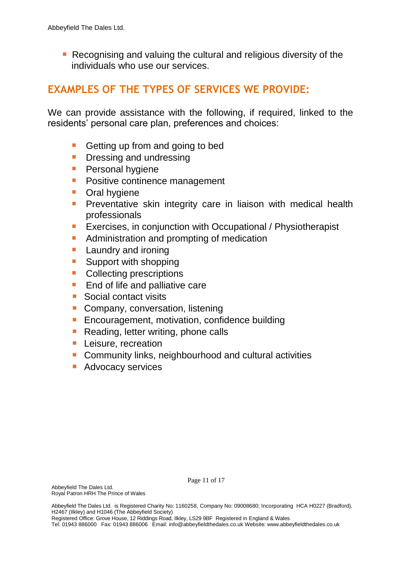Recognising and valuing the cultural and religious diversity of the individuals who use our services.

# **EXAMPLES OF THE TYPES OF SERVICES WE PROVIDE:**

We can provide assistance with the following, if required, linked to the residents' personal care plan, preferences and choices:

- Getting up from and going to bed
- **Dressing and undressing**
- **Personal hygiene**
- **Positive continence management**
- **Cral hygiene**
- **Preventative skin integrity care in liaison with medical health** professionals
- **Exercises, in conjunction with Occupational / Physiotherapist**
- **Administration and prompting of medication**
- **Laundry and ironing**
- **Support with shopping**
- **Collecting prescriptions**
- **End of life and palliative care**
- **Social contact visits**
- **Company, conversation, listening**
- **Encouragement, motivation, confidence building**
- **Reading, letter writing, phone calls**
- **Leisure, recreation**
- **Community links, neighbourhood and cultural activities**
- **Advocacy services**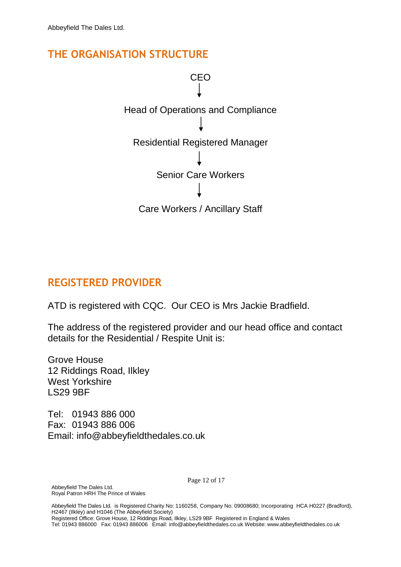## **THE ORGANISATION STRUCTURE**



# **REGISTERED PROVIDER**

ATD is registered with CQC. Our CEO is Mrs Jackie Bradfield.

The address of the registered provider and our head office and contact details for the Residential / Respite Unit is:

Grove House 12 Riddings Road, Ilkley West Yorkshire LS29 9BF

Tel: 01943 886 000 Fax: 01943 886 006 Email: info@abbeyfieldthedales.co.uk

Page 12 of 17

Abbeyfield The Dales Ltd. Royal Patron HRH The Prince of Wales

Abbeyfield The Dales Ltd. is Registered Charity No: 1160258, Company No: 09008680; Incorporating HCA H0227 (Bradford), H2467 (Ilkley) and H1046 (The Abbeyfield Society) Registered Office: Grove House, 12 Riddings Road, Ilkley, LS29 9BF Registered in England & Wales Tel: 01943 886000 Fax: 01943 886006 Email: [info@abbeyfieldthedales.co.uk W](mailto:info@abbeyfieldthedales.co.uk)ebsite: [www.abbeyfieldthedales.](http://www.abbeyfieldthedales/)co.uk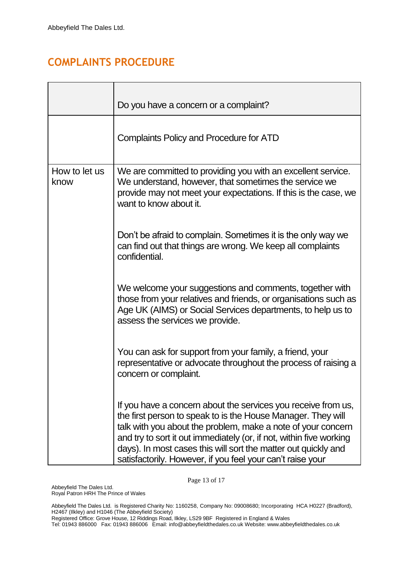# **COMPLAINTS PROCEDURE**

|                       | Do you have a concern or a complaint?                                                                                                                                                                                                                                                                                                                                                                |
|-----------------------|------------------------------------------------------------------------------------------------------------------------------------------------------------------------------------------------------------------------------------------------------------------------------------------------------------------------------------------------------------------------------------------------------|
|                       | <b>Complaints Policy and Procedure for ATD</b>                                                                                                                                                                                                                                                                                                                                                       |
| How to let us<br>know | We are committed to providing you with an excellent service.<br>We understand, however, that sometimes the service we<br>provide may not meet your expectations. If this is the case, we<br>want to know about it.                                                                                                                                                                                   |
|                       | Don't be afraid to complain. Sometimes it is the only way we<br>can find out that things are wrong. We keep all complaints<br>confidential.                                                                                                                                                                                                                                                          |
|                       | We welcome your suggestions and comments, together with<br>those from your relatives and friends, or organisations such as<br>Age UK (AIMS) or Social Services departments, to help us to<br>assess the services we provide.                                                                                                                                                                         |
|                       | You can ask for support from your family, a friend, your<br>representative or advocate throughout the process of raising a<br>concern or complaint.                                                                                                                                                                                                                                                  |
|                       | If you have a concern about the services you receive from us,<br>the first person to speak to is the House Manager. They will<br>talk with you about the problem, make a note of your concern<br>and try to sort it out immediately (or, if not, within five working<br>days). In most cases this will sort the matter out quickly and<br>satisfactorily. However, if you feel your can't raise your |

Page 13 of 17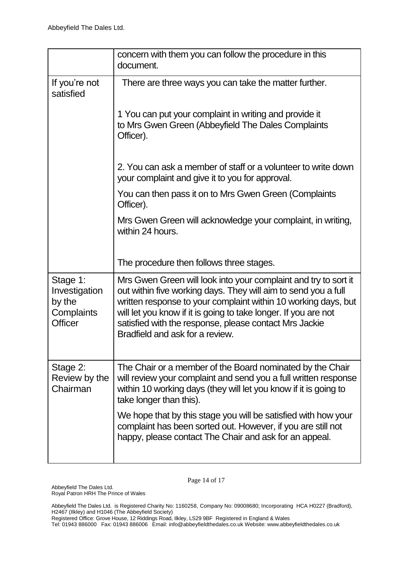|                                                              | concern with them you can follow the procedure in this<br>document.                                                                                                                                                                                                                                                                                                 |
|--------------------------------------------------------------|---------------------------------------------------------------------------------------------------------------------------------------------------------------------------------------------------------------------------------------------------------------------------------------------------------------------------------------------------------------------|
| If you're not<br>satisfied                                   | There are three ways you can take the matter further.                                                                                                                                                                                                                                                                                                               |
|                                                              | 1 You can put your complaint in writing and provide it<br>to Mrs Gwen Green (Abbeyfield The Dales Complaints<br>Officer).                                                                                                                                                                                                                                           |
|                                                              | 2. You can ask a member of staff or a volunteer to write down<br>your complaint and give it to you for approval.                                                                                                                                                                                                                                                    |
|                                                              | You can then pass it on to Mrs Gwen Green (Complaints<br>Officer).                                                                                                                                                                                                                                                                                                  |
|                                                              | Mrs Gwen Green will acknowledge your complaint, in writing,<br>within 24 hours.                                                                                                                                                                                                                                                                                     |
|                                                              | The procedure then follows three stages.                                                                                                                                                                                                                                                                                                                            |
| Stage 1:<br>Investigation<br>by the<br>Complaints<br>Officer | Mrs Gwen Green will look into your complaint and try to sort it<br>out within five working days. They will aim to send you a full<br>written response to your complaint within 10 working days, but<br>will let you know if it is going to take longer. If you are not<br>satisfied with the response, please contact Mrs Jackie<br>Bradfield and ask for a review. |
| Stage 2:<br>Review by the<br>Chairman                        | The Chair or a member of the Board nominated by the Chair<br>will review your complaint and send you a full written response<br>within 10 working days (they will let you know if it is going to<br>take longer than this).                                                                                                                                         |
|                                                              | We hope that by this stage you will be satisfied with how your<br>complaint has been sorted out. However, if you are still not<br>happy, please contact The Chair and ask for an appeal.                                                                                                                                                                            |

Page 14 of 17

Registered Office: Grove House, 12 Riddings Road, Ilkley, LS29 9BF Registered in England & Wales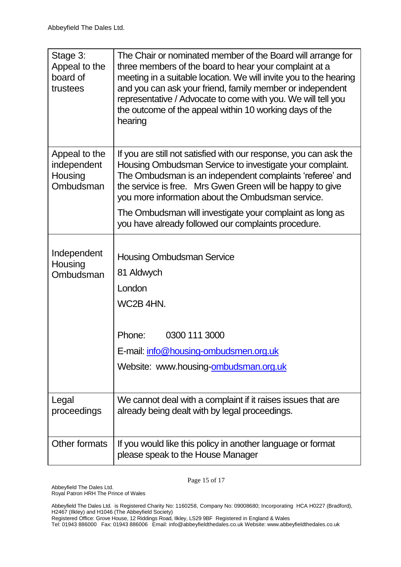| Stage 3:<br>Appeal to the<br>board of<br>trustees    | The Chair or nominated member of the Board will arrange for<br>three members of the board to hear your complaint at a<br>meeting in a suitable location. We will invite you to the hearing<br>and you can ask your friend, family member or independent<br>representative / Advocate to come with you. We will tell you<br>the outcome of the appeal within 10 working days of the<br>hearing |
|------------------------------------------------------|-----------------------------------------------------------------------------------------------------------------------------------------------------------------------------------------------------------------------------------------------------------------------------------------------------------------------------------------------------------------------------------------------|
| Appeal to the<br>independent<br>Housing<br>Ombudsman | If you are still not satisfied with our response, you can ask the<br>Housing Ombudsman Service to investigate your complaint.<br>The Ombudsman is an independent complaints 'referee' and<br>the service is free. Mrs Gwen Green will be happy to give<br>you more information about the Ombudsman service.                                                                                   |
|                                                      | The Ombudsman will investigate your complaint as long as<br>you have already followed our complaints procedure.                                                                                                                                                                                                                                                                               |
| Independent<br>Housing<br>Ombudsman                  | <b>Housing Ombudsman Service</b><br>81 Aldwych<br>London<br>WC2B 4HN.                                                                                                                                                                                                                                                                                                                         |
|                                                      | Phone:<br>0300 111 3000                                                                                                                                                                                                                                                                                                                                                                       |
|                                                      | E-mail: info@housing-ombudsmen.org.uk                                                                                                                                                                                                                                                                                                                                                         |
|                                                      | Website: www.housing-ombudsman.org.uk                                                                                                                                                                                                                                                                                                                                                         |
| Legal<br>proceedings                                 | We cannot deal with a complaint if it raises issues that are<br>already being dealt with by legal proceedings.                                                                                                                                                                                                                                                                                |
| Other formats                                        | If you would like this policy in another language or format<br>please speak to the House Manager                                                                                                                                                                                                                                                                                              |

Page 15 of 17

Abbeyfield The Dales Ltd. Royal Patron HRH The Prince of Wales

Abbeyfield The Dales Ltd. is Registered Charity No: 1160258, Company No: 09008680; Incorporating HCA H0227 (Bradford), H2467 (Ilkley) and H1046 (The Abbeyfield Society)

Registered Office: Grove House, 12 Riddings Road, Ilkley, LS29 9BF Registered in England & Wales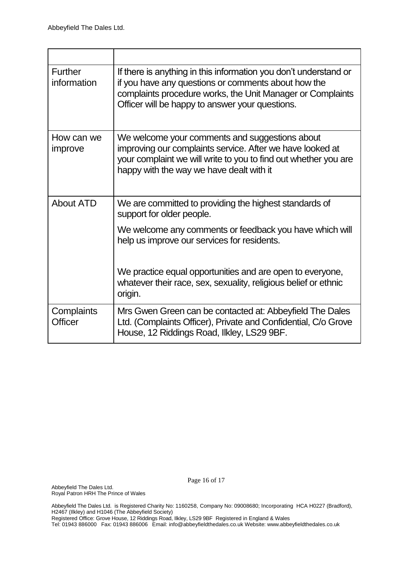| <b>Further</b><br>information | If there is anything in this information you don't understand or<br>if you have any questions or comments about how the<br>complaints procedure works, the Unit Manager or Complaints<br>Officer will be happy to answer your questions. |
|-------------------------------|------------------------------------------------------------------------------------------------------------------------------------------------------------------------------------------------------------------------------------------|
| How can we<br>improve         | We welcome your comments and suggestions about<br>improving our complaints service. After we have looked at<br>your complaint we will write to you to find out whether you are<br>happy with the way we have dealt with it               |
| <b>About ATD</b>              | We are committed to providing the highest standards of<br>support for older people.                                                                                                                                                      |
|                               | We welcome any comments or feedback you have which will<br>help us improve our services for residents.                                                                                                                                   |
|                               | We practice equal opportunities and are open to everyone,<br>whatever their race, sex, sexuality, religious belief or ethnic<br>origin.                                                                                                  |
| Complaints<br><b>Officer</b>  | Mrs Gwen Green can be contacted at: Abbeyfield The Dales<br>Ltd. (Complaints Officer), Private and Confidential, C/o Grove<br>House, 12 Riddings Road, Ilkley, LS29 9BF.                                                                 |

Page 16 of 17